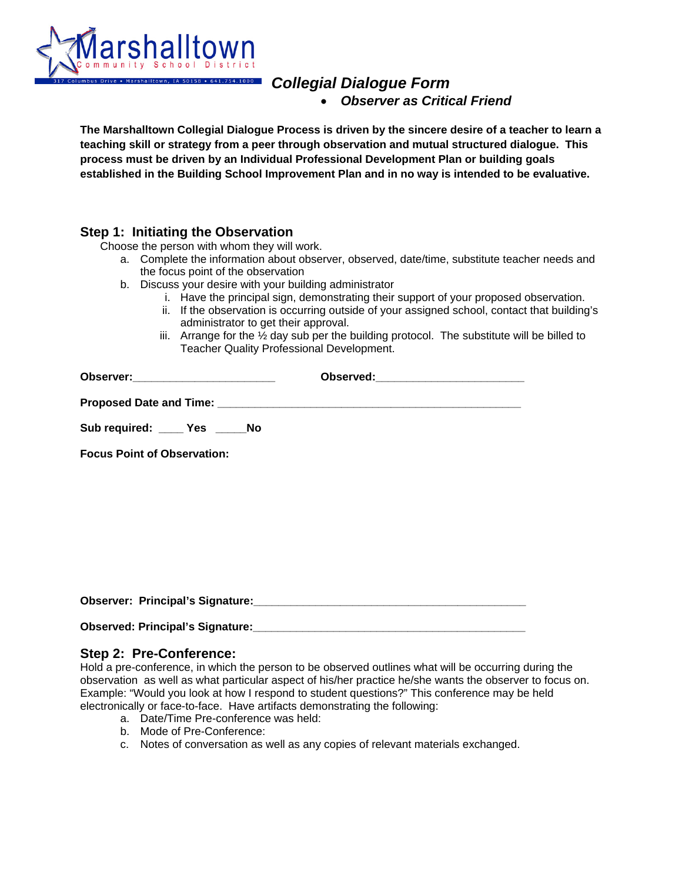

# *Collegial Dialogue Form*  • *Observer as Critical Friend*

**The Marshalltown Collegial Dialogue Process is driven by the sincere desire of a teacher to learn a teaching skill or strategy from a peer through observation and mutual structured dialogue. This process must be driven by an Individual Professional Development Plan or building goals established in the Building School Improvement Plan and in no way is intended to be evaluative.**

# **Step 1: Initiating the Observation**<br>Choose the person with whom they will work.

- a. Complete the information about observer, observed, date/time, substitute teacher needs and the focus point of the observation
- b. Discuss your desire with your building administrator
	- i. Have the principal sign, demonstrating their support of your proposed observation.
	- ii. If the observation is occurring outside of your assigned school, contact that building's administrator to get their approval.
	- iii. Arrange for the  $\frac{1}{2}$  day sub per the building protocol. The substitute will be billed to Teacher Quality Professional Development.

| Observer:__________________________ |  |
|-------------------------------------|--|
|                                     |  |
| Sub required: _____ Yes _____ No    |  |
| <b>Focus Point of Observation:</b>  |  |

Observer: Principal's Signature:

| <b>Observed: Principal's Signature:</b> |  |
|-----------------------------------------|--|
|-----------------------------------------|--|

#### **Step 2: Pre-Conference:**

Hold a pre-conference, in which the person to be observed outlines what will be occurring during the observation as well as what particular aspect of his/her practice he/she wants the observer to focus on. Example: "Would you look at how I respond to student questions?" This conference may be held electronically or face-to-face. Have artifacts demonstrating the following:

- a. Date/Time Pre-conference was held:
- b. Mode of Pre-Conference:
- c. Notes of conversation as well as any copies of relevant materials exchanged.